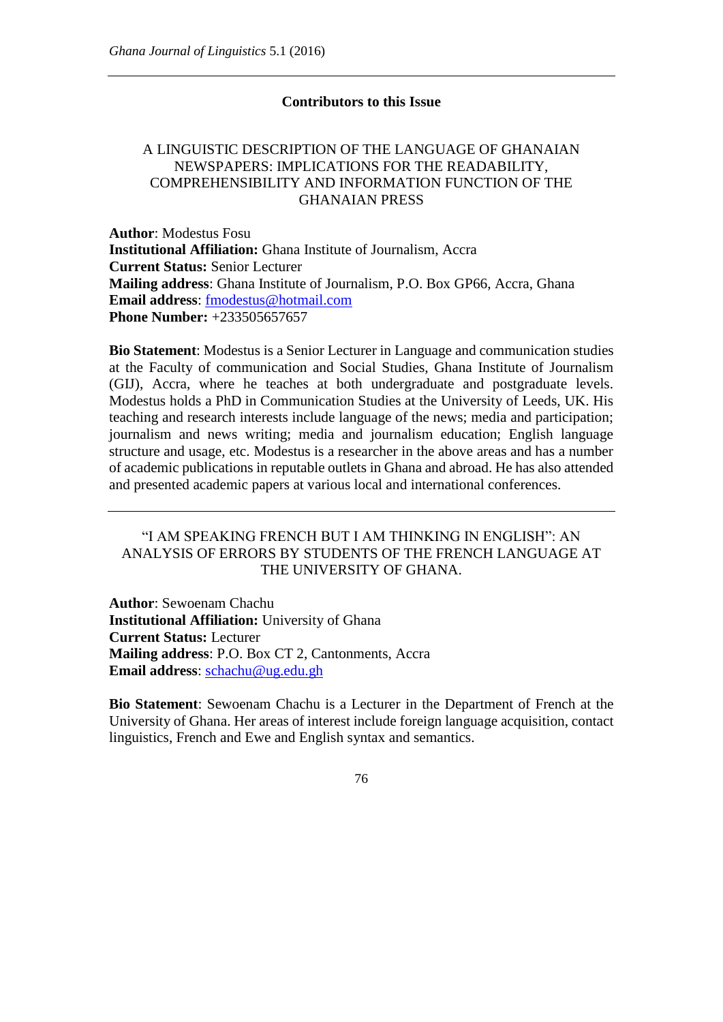## **Contributors to this Issue**

## A LINGUISTIC DESCRIPTION OF THE LANGUAGE OF GHANAIAN NEWSPAPERS: IMPLICATIONS FOR THE READABILITY, COMPREHENSIBILITY AND INFORMATION FUNCTION OF THE GHANAIAN PRESS

**Author**: Modestus Fosu **Institutional Affiliation:** Ghana Institute of Journalism, Accra **Current Status:** Senior Lecturer **Mailing address**: Ghana Institute of Journalism, P.O. Box GP66, Accra, Ghana **Email address**: [fmodestus@hotmail.com](mailto:fmodestus@hotmail.com) **Phone Number:** +233505657657

**Bio Statement**: Modestus is a Senior Lecturer in Language and communication studies at the Faculty of communication and Social Studies, Ghana Institute of Journalism (GIJ), Accra, where he teaches at both undergraduate and postgraduate levels. Modestus holds a PhD in Communication Studies at the University of Leeds, UK. His teaching and research interests include language of the news; media and participation; journalism and news writing; media and journalism education; English language structure and usage, etc. Modestus is a researcher in the above areas and has a number of academic publications in reputable outlets in Ghana and abroad. He has also attended and presented academic papers at various local and international conferences.

## "I AM SPEAKING FRENCH BUT I AM THINKING IN ENGLISH": AN ANALYSIS OF ERRORS BY STUDENTS OF THE FRENCH LANGUAGE AT THE UNIVERSITY OF GHANA.

**Author**: Sewoenam Chachu **Institutional Affiliation:** University of Ghana **Current Status:** Lecturer **Mailing address**: P.O. Box CT 2, Cantonments, Accra **Email address**: [schachu@ug.edu.gh](mailto:schachu@ug.edu.gh)

**Bio Statement**: Sewoenam Chachu is a Lecturer in the Department of French at the University of Ghana. Her areas of interest include foreign language acquisition, contact linguistics, French and Ewe and English syntax and semantics.

76